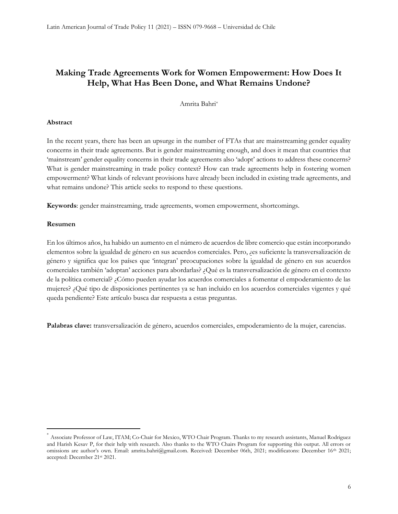Amrita Bahri\*

#### Abstract

In the recent years, there has been an upsurge in the number of FTAs that are mainstreaming gender equality concerns in their trade agreements. But is gender mainstreaming enough, and does it mean that countries that 'mainstream' gender equality concerns in their trade agreements also 'adopt' actions to address these concerns? What is gender mainstreaming in trade policy context? How can trade agreements help in fostering women empowerment? What kinds of relevant provisions have already been included in existing trade agreements, and what remains undone? This article seeks to respond to these questions.

Keywords: gender mainstreaming, trade agreements, women empowerment, shortcomings.

#### Resumen

En los últimos años, ha habido un aumento en el número de acuerdos de libre comercio que están incorporando elementos sobre la igualdad de género en sus acuerdos comerciales. Pero, ¿es suficiente la transversalización de género y significa que los países que 'integran' preocupaciones sobre la igualdad de género en sus acuerdos comerciales también 'adoptan' acciones para abordarlas? ¿Qué es la transversalización de género en el contexto de la política comercial? ¿Cómo pueden ayudar los acuerdos comerciales a fomentar el empoderamiento de las mujeres? ¿Qué tipo de disposiciones pertinentes ya se han incluido en los acuerdos comerciales vigentes y qué queda pendiente? Este artículo busca dar respuesta a estas preguntas.

Palabras clave: transversalización de género, acuerdos comerciales, empoderamiento de la mujer, carencias.

<sup>\*</sup> Associate Professor of Law, ITAM; Co-Chair for Mexico, WTO Chair Program. Thanks to my research assistants, Manuel Rodriguez and Harish Kesav P, for their help with research. Also thanks to the WTO Chairs Program for supporting this output. All errors or omissions are author's own. Email: amrita.bahri@gmail.com. Received: December 06th, 2021; modificatons: December 16<sup>th</sup> 2021; accepted: December 21st 2021.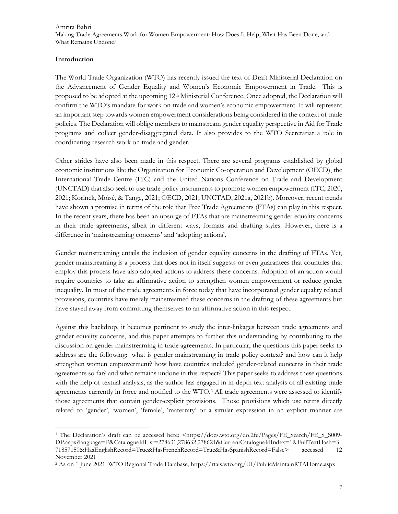#### Introduction

The World Trade Organization (WTO) has recently issued the text of Draft Ministerial Declaration on the Advancement of Gender Equality and Women's Economic Empowerment in Trade.<sup>1</sup> This is proposed to be adopted at the upcoming 12<sup>th</sup> Ministerial Conference. Once adopted, the Declaration will confirm the WTO's mandate for work on trade and women's economic empowerment. It will represent an important step towards women empowerment considerations being considered in the context of trade policies. The Declaration will oblige members to mainstream gender equality perspective in Aid for Trade programs and collect gender-disaggregated data. It also provides to the WTO Secretariat a role in coordinating research work on trade and gender.

Other strides have also been made in this respect. There are several programs established by global economic institutions like the Organization for Economic Co-operation and Development (OECD), the International Trade Centre (ITC) and the United Nations Conference on Trade and Development (UNCTAD) that also seek to use trade policy instruments to promote women empowerment (ITC, 2020, 2021; Korinek, Moïsé, & Tange, 2021; OECD, 2021; UNCTAD, 2021a, 2021b). Moreover, recent trends have shown a promise in terms of the role that Free Trade Agreements (FTAs) can play in this respect. In the recent years, there has been an upsurge of FTAs that are mainstreaming gender equality concerns in their trade agreements, albeit in different ways, formats and drafting styles. However, there is a difference in 'mainstreaming concerns' and 'adopting actions'.

Gender mainstreaming entails the inclusion of gender equality concerns in the drafting of FTAs. Yet, gender mainstreaming is a process that does not in itself suggests or even guarantees that countries that employ this process have also adopted actions to address these concerns. Adoption of an action would require countries to take an affirmative action to strengthen women empowerment or reduce gender inequality. In most of the trade agreements in force today that have incorporated gender equality related provisions, countries have merely mainstreamed these concerns in the drafting of these agreements but have stayed away from committing themselves to an affirmative action in this respect.

Against this backdrop, it becomes pertinent to study the inter-linkages between trade agreements and gender equality concerns, and this paper attempts to further this understanding by contributing to the discussion on gender mainstreaming in trade agreements. In particular, the questions this paper seeks to address are the following: what is gender mainstreaming in trade policy context? and how can it help strengthen women empowerment? how have countries included gender-related concerns in their trade agreements so far? and what remains undone in this respect? This paper seeks to address these questions with the help of textual analysis, as the author has engaged in in-depth text analysis of all existing trade agreements currently in force and notified to the WTO.<sup>2</sup> All trade agreements were assessed to identify those agreements that contain gender-explicit provisions. Those provisions which use terms directly related to 'gender', 'women', 'female', 'maternity' or a similar expression in an explicit manner are

<sup>&</sup>lt;sup>1</sup> The Declaration's draft can be accessed here: <https://docs.wto.org/dol2fe/Pages/FE\_Search/FE\_S\_S009-DP.aspx?language=E&CatalogueIdList=278631,278632,278621&CurrentCatalogueIdIndex=1&FullTextHash=3 71857150&HasEnglishRecord=True&HasFrenchRecord=True&HasSpanishRecord=False> accessed 12 November 2021

<sup>2</sup> As on 1 June 2021. WTO Regional Trade Database, https://rtais.wto.org/UI/PublicMaintainRTAHome.aspx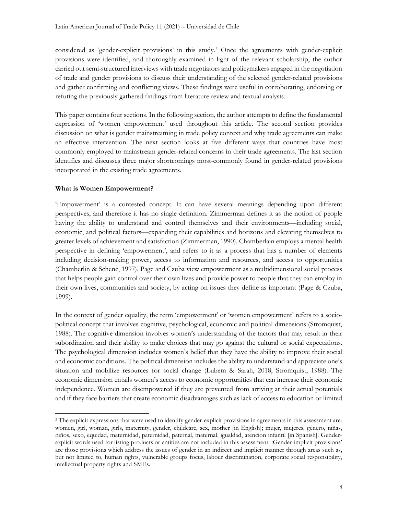considered as 'gender-explicit provisions' in this study.<sup>3</sup> Once the agreements with gender-explicit provisions were identified, and thoroughly examined in light of the relevant scholarship, the author carried out semi-structured interviews with trade negotiators and policymakers engaged in the negotiation of trade and gender provisions to discuss their understanding of the selected gender-related provisions and gather confirming and conflicting views. These findings were useful in corroborating, endorsing or refuting the previously gathered findings from literature review and textual analysis.

This paper contains four sections. In the following section, the author attempts to define the fundamental expression of 'women empowerment' used throughout this article. The second section provides discussion on what is gender mainstreaming in trade policy context and why trade agreements can make an effective intervention. The next section looks at five different ways that countries have most commonly employed to mainstream gender-related concerns in their trade agreements. The last section identifies and discusses three major shortcomings most-commonly found in gender-related provisions incorporated in the existing trade agreements.

# What is Women Empowerment?

'Empowerment' is a contested concept. It can have several meanings depending upon different perspectives, and therefore it has no single definition. Zimmerman defines it as the notion of people having the ability to understand and control themselves and their environments—including social, economic, and political factors—expanding their capabilities and horizons and elevating themselves to greater levels of achievement and satisfaction (Zimmerman, 1990). Chamberlain employs a mental health perspective in defining 'empowerment', and refers to it as a process that has a number of elements including decision-making power, access to information and resources, and access to opportunities (Chamberlin & Schene, 1997). Page and Czuba view empowerment as a multidimensional social process that helps people gain control over their own lives and provide power to people that they can employ in their own lives, communities and society, by acting on issues they define as important (Page & Czuba, 1999).

In the context of gender equality, the term 'empowerment' or 'women empowerment' refers to a sociopolitical concept that involves cognitive, psychological, economic and political dimensions (Stromquist, 1988). The cognitive dimension involves women's understanding of the factors that may result in their subordination and their ability to make choices that may go against the cultural or social expectations. The psychological dimension includes women's belief that they have the ability to improve their social and economic conditions. The political dimension includes the ability to understand and appreciate one's situation and mobilize resources for social change (Lubem & Sarah, 2018; Stromquist, 1988). The economic dimension entails women's access to economic opportunities that can increase their economic independence. Women are disempowered if they are prevented from arriving at their actual potentials and if they face barriers that create economic disadvantages such as lack of access to education or limited

<sup>&</sup>lt;sup>3</sup> The explicit expressions that were used to identify gender-explicit provisions in agreements in this assessment are: women, girl, woman, girls, maternity, gender, childcare, sex, mother [in English]; mujer, mujeres, género, niñas, niños, sexo, equidad, maternidad, paternidad, paternal, maternal, igualdad, atencion infantil [in Spanish]. Genderexplicit words used for listing products or entities are not included in this assessment. 'Gender-implicit provisions' are those provisions which address the issues of gender in an indirect and implicit manner through areas such as, but not limited to, human rights, vulnerable groups focus, labour discrimination, corporate social responsibility, intellectual property rights and SMEs.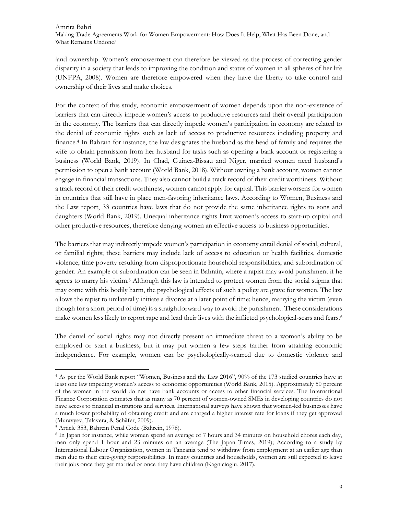land ownership. Women's empowerment can therefore be viewed as the process of correcting gender disparity in a society that leads to improving the condition and status of women in all spheres of her life (UNFPA, 2008). Women are therefore empowered when they have the liberty to take control and ownership of their lives and make choices.

For the context of this study, economic empowerment of women depends upon the non-existence of barriers that can directly impede women's access to productive resources and their overall participation in the economy. The barriers that can directly impede women's participation in economy are related to the denial of economic rights such as lack of access to productive resources including property and finance.<sup>4</sup> In Bahrain for instance, the law designates the husband as the head of family and requires the wife to obtain permission from her husband for tasks such as opening a bank account or registering a business (World Bank, 2019). In Chad, Guinea-Bissau and Niger, married women need husband's permission to open a bank account (World Bank, 2018). Without owning a bank account, women cannot engage in financial transactions. They also cannot build a track record of their credit worthiness. Without a track record of their credit worthiness, women cannot apply for capital. This barrier worsens for women in countries that still have in place men-favoring inheritance laws. According to Women, Business and the Law report, 33 countries have laws that do not provide the same inheritance rights to sons and daughters (World Bank, 2019). Unequal inheritance rights limit women's access to start-up capital and other productive resources, therefore denying women an effective access to business opportunities.

The barriers that may indirectly impede women's participation in economy entail denial of social, cultural, or familial rights; these barriers may include lack of access to education or health facilities, domestic violence, time poverty resulting from disproportionate household responsibilities, and subordination of gender. An example of subordination can be seen in Bahrain, where a rapist may avoid punishment if he agrees to marry his victim.<sup>5</sup> Although this law is intended to protect women from the social stigma that may come with this bodily harm, the psychological effects of such a policy are grave for women. The law allows the rapist to unilaterally initiate a divorce at a later point of time; hence, marrying the victim (even though for a short period of time) is a straightforward way to avoid the punishment. These considerations make women less likely to report rape and lead their lives with the inflicted psychological-scars and fears.<sup>6</sup>

The denial of social rights may not directly present an immediate threat to a woman's ability to be employed or start a business, but it may put women a few steps farther from attaining economic independence. For example, women can be psychologically-scarred due to domestic violence and

<sup>4</sup> As per the World Bank report "Women, Business and the Law 2016", 90% of the 173 studied countries have at least one law impeding women's access to economic opportunities (World Bank, 2015). Approximately 50 percent of the women in the world do not have bank accounts or access to other financial services. The International Finance Corporation estimates that as many as 70 percent of women-owned SMEs in developing countries do not have access to financial institutions and services. International surveys have shown that women-led businesses have a much lower probability of obtaining credit and are charged a higher interest rate for loans if they get approved (Muravyev, Talavera, & Schäfer, 2009).

<sup>5</sup> Article 353, Bahrein Penal Code (Bahrein, 1976).

<sup>6</sup> In Japan for instance, while women spend an average of 7 hours and 34 minutes on household chores each day, men only spend 1 hour and 23 minutes on an average (The Japan Times, 2019); According to a study by International Labour Organization, women in Tanzania tend to withdraw from employment at an earlier age than men due to their care-giving responsibilities. In many countries and households, women are still expected to leave their jobs once they get married or once they have children (Kagnicioglu, 2017).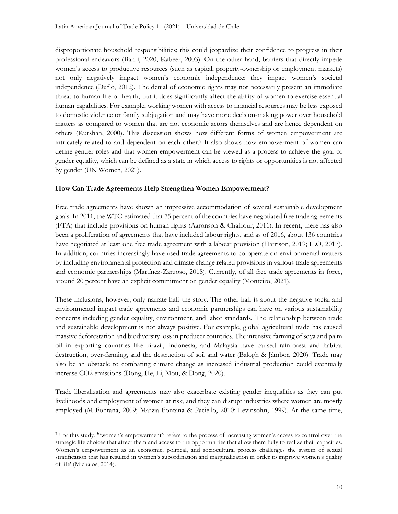disproportionate household responsibilities; this could jeopardize their confidence to progress in their professional endeavors (Bahri, 2020; Kabeer, 2003). On the other hand, barriers that directly impede women's access to productive resources (such as capital, property-ownership or employment markets) not only negatively impact women's economic independence; they impact women's societal independence (Duflo, 2012). The denial of economic rights may not necessarily present an immediate threat to human life or health, but it does significantly affect the ability of women to exercise essential human capabilities. For example, working women with access to financial resources may be less exposed to domestic violence or family subjugation and may have more decision-making power over household matters as compared to women that are not economic actors themselves and are hence dependent on others (Kurshan, 2000). This discussion shows how different forms of women empowerment are intricately related to and dependent on each other.<sup>7</sup> It also shows how empowerment of women can define gender roles and that women empowerment can be viewed as a process to achieve the goal of gender equality, which can be defined as a state in which access to rights or opportunities is not affected by gender (UN Women, 2021).

# How Can Trade Agreements Help Strengthen Women Empowerment?

Free trade agreements have shown an impressive accommodation of several sustainable development goals. In 2011, the WTO estimated that 75 percent of the countries have negotiated free trade agreements (FTA) that include provisions on human rights (Aaronson & Chaffour, 2011). In recent, there has also been a proliferation of agreements that have included labour rights, and as of 2016, about 136 countries have negotiated at least one free trade agreement with a labour provision (Harrison, 2019; ILO, 2017). In addition, countries increasingly have used trade agreements to co-operate on environmental matters by including environmental protection and climate change related provisions in various trade agreements and economic partnerships (Martínez-Zarzoso, 2018). Currently, of all free trade agreements in force, around 20 percent have an explicit commitment on gender equality (Monteiro, 2021).

These inclusions, however, only narrate half the story. The other half is about the negative social and environmental impact trade agreements and economic partnerships can have on various sustainability concerns including gender equality, environment, and labor standards. The relationship between trade and sustainable development is not always positive. For example, global agricultural trade has caused massive deforestation and biodiversity loss in producer countries. The intensive farming of soya and palm oil in exporting countries like Brazil, Indonesia, and Malaysia have caused rainforest and habitat destruction, over-farming, and the destruction of soil and water (Balogh & Jámbor, 2020). Trade may also be an obstacle to combating climate change as increased industrial production could eventually increase CO2 emissions (Dong, He, Li, Mou, & Dong, 2020).

Trade liberalization and agreements may also exacerbate existing gender inequalities as they can put livelihoods and employment of women at risk, and they can disrupt industries where women are mostly employed (M Fontana, 2009; Marzia Fontana & Paciello, 2010; Levinsohn, 1999). At the same time,

<sup>7</sup> For this study, '"women's empowerment" refers to the process of increasing women's access to control over the strategic life choices that affect them and access to the opportunities that allow them fully to realize their capacities. Women's empowerment as an economic, political, and sociocultural process challenges the system of sexual stratification that has resulted in women's subordination and marginalization in order to improve women's quality of life' (Michalos, 2014).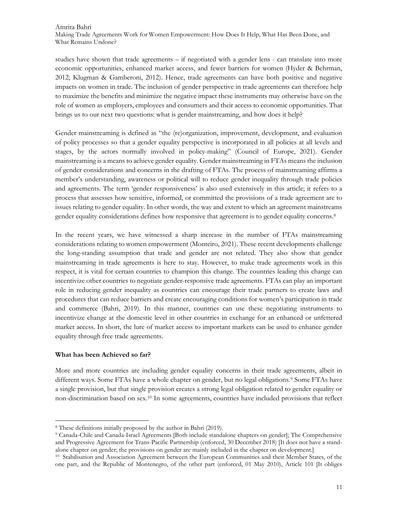studies have shown that trade agreements – if negotiated with a gender lens - can translate into more economic opportunities, enhanced market access, and fewer barriers for women (Hyder & Behrman, 2012; Klugman & Gamberoni, 2012). Hence, trade agreements can have both positive and negative impacts on women in trade. The inclusion of gender perspective in trade agreements can therefore help to maximize the benefits and minimize the negative impact these instruments may otherwise have on the role of women as employers, employees and consumers and their access to economic opportunities. That brings us to our next two questions: what is gender mainstreaming, and how does it help?

Gender mainstreaming is defined as "the (re)organization, improvement, development, and evaluation of policy processes so that a gender equality perspective is incorporated in all policies at all levels and stages, by the actors normally involved in policy-making" (Council of Europe, 2021). Gender mainstreaming is a means to achieve gender equality. Gender mainstreaming in FTAs means the inclusion of gender considerations and concerns in the drafting of FTAs. The process of mainstreaming affirms a member's understanding, awareness or political will to reduce gender inequality through trade policies and agreements. The term 'gender responsiveness' is also used extensively in this article; it refers to a process that assesses how sensitive, informed, or committed the provisions of a trade agreement are to issues relating to gender equality. In other words, the way and extent to which an agreement mainstreams gender equality considerations defines how responsive that agreement is to gender equality concerns.<sup>8</sup>

In the recent years, we have witnessed a sharp increase in the number of FTAs mainstreaming considerations relating to women empowerment (Monteiro, 2021). These recent developments challenge the long-standing assumption that trade and gender are not related. They also show that gender mainstreaming in trade agreements is here to stay. However, to make trade agreements work in this respect, it is vital for certain countries to champion this change. The countries leading this change can incentivize other countries to negotiate gender-responsive trade agreements. FTAs can play an important role in reducing gender inequality as countries can encourage their trade partners to create laws and procedures that can reduce barriers and create encouraging conditions for women's participation in trade and commerce (Bahri, 2019). In this manner, countries can use these negotiating instruments to incentivize change at the domestic level in other countries in exchange for an enhanced or unfettered market access. In short, the lure of market access to important markets can be used to enhance gender equality through free trade agreements.

# What has been Achieved so far?

More and more countries are including gender equality concerns in their trade agreements, albeit in different ways. Some FTAs have a whole chapter on gender, but no legal obligations.<sup>9</sup> Some FTAs have a single provision, but that single provision creates a strong legal obligation related to gender equality or non-discrimination based on sex.10 In some agreements, countries have included provisions that reflect

<sup>8</sup> These definitions initially proposed by the author in Bahri (2019).

<sup>9</sup> Canada-Chile and Canada-Israel Agreements [Both include standalone chapters on gender]; The Comprehensive and Progressive Agreement for Trans-Pacific Partnership (enforced, 30 December 2018) [It does not have a standalone chapter on gender; the provisions on gender are mainly included in the chapter on development.]

<sup>10</sup> Stabilisation and Association Agreement between the European Communities and their Member States, of the one part, and the Republic of Montenegro, of the other part (enforced, 01 May 2010), Article 101 [It obliges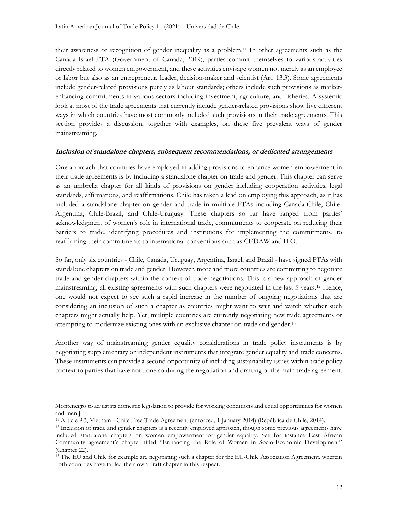their awareness or recognition of gender inequality as a problem.11 In other agreements such as the Canada-Israel FTA (Government of Canada, 2019), parties commit themselves to various activities directly related to women empowerment, and these activities envisage women not merely as an employee or labor but also as an entrepreneur, leader, decision-maker and scientist (Art. 13.3). Some agreements include gender-related provisions purely as labour standards; others include such provisions as marketenhancing commitments in various sectors including investment, agriculture, and fisheries. A systemic look at most of the trade agreements that currently include gender-related provisions show five different ways in which countries have most commonly included such provisions in their trade agreements. This section provides a discussion, together with examples, on these five prevalent ways of gender mainstreaming.

#### Inclusion of standalone chapters, subsequent recommendations, or dedicated arrangements

One approach that countries have employed in adding provisions to enhance women empowerment in their trade agreements is by including a standalone chapter on trade and gender. This chapter can serve as an umbrella chapter for all kinds of provisions on gender including cooperation activities, legal standards, affirmations, and reaffirmations. Chile has taken a lead on employing this approach, as it has included a standalone chapter on gender and trade in multiple FTAs including Canada-Chile, Chile-Argentina, Chile-Brazil, and Chile-Uruguay. These chapters so far have ranged from parties' acknowledgment of women's role in international trade, commitments to cooperate on reducing their barriers to trade, identifying procedures and institutions for implementing the commitments, to reaffirming their commitments to international conventions such as CEDAW and ILO.

So far, only six countries - Chile, Canada, Uruguay, Argentina, Israel, and Brazil - have signed FTAs with standalone chapters on trade and gender. However, more and more countries are committing to negotiate trade and gender chapters within the context of trade negotiations. This is a new approach of gender mainstreaming; all existing agreements with such chapters were negotiated in the last 5 years.12 Hence, one would not expect to see such a rapid increase in the number of ongoing negotiations that are considering an inclusion of such a chapter as countries might want to wait and watch whether such chapters might actually help. Yet, multiple countries are currently negotiating new trade agreements or attempting to modernize existing ones with an exclusive chapter on trade and gender.<sup>13</sup>

Another way of mainstreaming gender equality considerations in trade policy instruments is by negotiating supplementary or independent instruments that integrate gender equality and trade concerns. These instruments can provide a second opportunity of including sustainability issues within trade policy context to parties that have not done so during the negotiation and drafting of the main trade agreement.

Montenegro to adjust its domestic legislation to provide for working conditions and equal opportunities for women and men.]

<sup>11</sup> Article 9.3, Vietnam - Chile Free Trade Agreement (enforced, 1 January 2014) (República de Chile, 2014).

<sup>&</sup>lt;sup>12</sup> Inclusion of trade and gender chapters is a recently employed approach, though some previous agreements have included standalone chapters on women empowerment or gender equality. See for instance East African Community agreement's chapter titled "Enhancing the Role of Women in Socio-Economic Development" (Chapter 22).

<sup>&</sup>lt;sup>13</sup> The EU and Chile for example are negotiating such a chapter for the EU-Chile Association Agreement, wherein both countries have tabled their own draft chapter in this respect.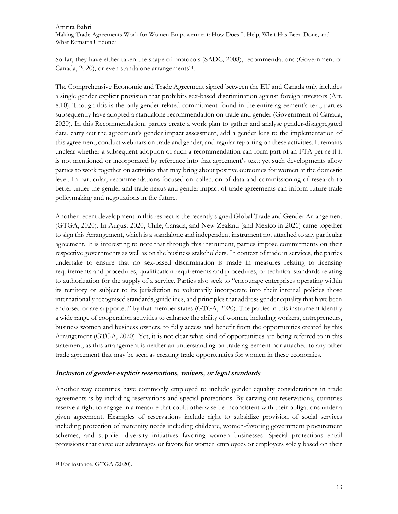So far, they have either taken the shape of protocols (SADC, 2008), recommendations (Government of Canada, 2020), or even standalone arrangements<sup>14</sup>.

The Comprehensive Economic and Trade Agreement signed between the EU and Canada only includes a single gender explicit provision that prohibits sex-based discrimination against foreign investors (Art. 8.10). Though this is the only gender-related commitment found in the entire agreement's text, parties subsequently have adopted a standalone recommendation on trade and gender (Government of Canada, 2020). In this Recommendation, parties create a work plan to gather and analyse gender-disaggregated data, carry out the agreement's gender impact assessment, add a gender lens to the implementation of this agreement, conduct webinars on trade and gender, and regular reporting on these activities. It remains unclear whether a subsequent adoption of such a recommendation can form part of an FTA per se if it is not mentioned or incorporated by reference into that agreement's text; yet such developments allow parties to work together on activities that may bring about positive outcomes for women at the domestic level. In particular, recommendations focused on collection of data and commissioning of research to better under the gender and trade nexus and gender impact of trade agreements can inform future trade policymaking and negotiations in the future.

Another recent development in this respect is the recently signed Global Trade and Gender Arrangement (GTGA, 2020). In August 2020, Chile, Canada, and New Zealand (and Mexico in 2021) came together to sign this Arrangement, which is a standalone and independent instrument not attached to any particular agreement. It is interesting to note that through this instrument, parties impose commitments on their respective governments as well as on the business stakeholders. In context of trade in services, the parties undertake to ensure that no sex-based discrimination is made in measures relating to licensing requirements and procedures, qualification requirements and procedures, or technical standards relating to authorization for the supply of a service. Parties also seek to "encourage enterprises operating within its territory or subject to its jurisdiction to voluntarily incorporate into their internal policies those internationally recognised standards, guidelines, and principles that address gender equality that have been endorsed or are supported" by that member states (GTGA, 2020). The parties in this instrument identify a wide range of cooperation activities to enhance the ability of women, including workers, entrepreneurs, business women and business owners, to fully access and benefit from the opportunities created by this Arrangement (GTGA, 2020). Yet, it is not clear what kind of opportunities are being referred to in this statement, as this arrangement is neither an understanding on trade agreement nor attached to any other trade agreement that may be seen as creating trade opportunities for women in these economies.

# Inclusion of gender-explicit reservations, waivers, or legal standards

Another way countries have commonly employed to include gender equality considerations in trade agreements is by including reservations and special protections. By carving out reservations, countries reserve a right to engage in a measure that could otherwise be inconsistent with their obligations under a given agreement. Examples of reservations include right to subsidize provision of social services including protection of maternity needs including childcare, women-favoring government procurement schemes, and supplier diversity initiatives favoring women businesses. Special protections entail provisions that carve out advantages or favors for women employees or employers solely based on their

<sup>&</sup>lt;sup>14</sup> For instance, GTGA (2020).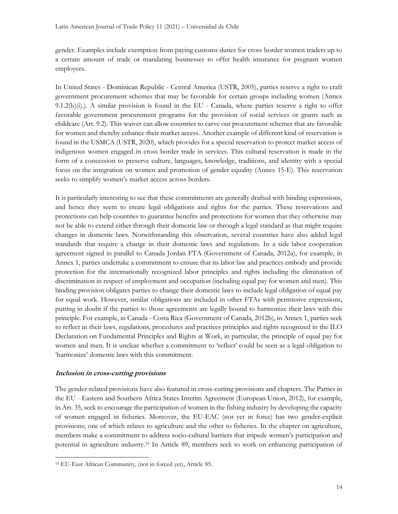gender. Examples include exemption from paying customs duties for cross border women traders up to a certain amount of trade or mandating businesses to offer health insurance for pregnant women employees.

In United States - Dominican Republic - Central America (USTR, 2005), parties reserve a right to craft government procurement schemes that may be favorable for certain groups including women (Annex 9.1.2(b)(i).). A similar provision is found in the EU - Canada, where parties reserve a right to offer favorable government procurement programs for the provision of social services or grants such as childcare (Art. 9.2). This waiver can allow countries to carve out procurement schemes that are favorable for women and thereby enhance their market access. Another example of different kind of reservation is found in the USMCA (USTR, 2020), which provides for a special reservation to protect market access of indigenous women engaged in cross border trade in services. This cultural reservation is made in the form of a concession to preserve culture, languages, knowledge, traditions, and identity with a special focus on the integration on women and promotion of gender equality (Annex 15-E). This reservation seeks to simplify women's market access across borders.

It is particularly interesting to see that these commitments are generally drafted with binding expressions, and hence they seem to create legal obligations and rights for the parties. These reservations and protections can help countries to guarantee benefits and protections for women that they otherwise may not be able to extend either through their domestic law or through a legal standard as that might require changes in domestic laws. Notwithstanding this observation, several countries have also added legal standards that require a change in their domestic laws and regulations. In a side labor cooperation agreement signed in parallel to Canada Jordan FTA (Government of Canada, 2012a), for example, in Annex 1, parties undertake a commitment to ensure that its labor law and practices embody and provide protection for the internationally recognized labor principles and rights including the elimination of discrimination in respect of employment and occupation (including equal pay for women and men). This binding provision obligates parties to change their domestic laws to include legal obligation of equal pay for equal work. However, similar obligations are included in other FTAs with permissive expressions, putting in doubt if the parties to those agreements are legally bound to harmonize their laws with this principle. For example, in Canada - Costa Rica (Government of Canada, 2012b), in Annex 1, parties seek to reflect in their laws, regulations, procedures and practices principles and rights recognized in the ILO Declaration on Fundamental Principles and Rights at Work, in particular, the principle of equal pay for women and men. It is unclear whether a commitment to 'reflect' could be seen as a legal obligation to 'harmonize' domestic laws with this commitment.

# Inclusion in cross-cutting provisions

The gender-related provisions have also featured in cross-cutting provisions and chapters. The Parties in the EU - Eastern and Southern Africa States Interim Agreement (European Union, 2012), for example, in Art. 35, seek to encourage the participation of women in the fishing industry by developing the capacity of women engaged in fisheries. Moreover, the EU-EAC (not yet in force) has two gender-explicit provisions; one of which relates to agriculture and the other to fisheries. In the chapter on agriculture, members make a commitment to address socio-cultural barriers that impede women's participation and potential in agriculture industry.15 In Article 89, members seek to work on enhancing participation of

<sup>15</sup> EU-East African Community, (not in forced yet), Article 85.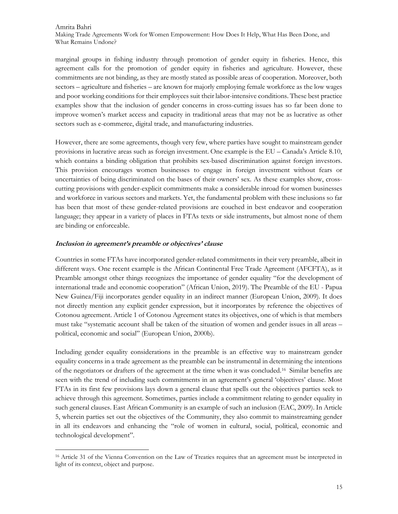marginal groups in fishing industry through promotion of gender equity in fisheries. Hence, this agreement calls for the promotion of gender equity in fisheries and agriculture. However, these commitments are not binding, as they are mostly stated as possible areas of cooperation. Moreover, both sectors – agriculture and fisheries – are known for majorly employing female workforce as the low wages and poor working conditions for their employees suit their labor-intensive conditions. These best practice examples show that the inclusion of gender concerns in cross-cutting issues has so far been done to improve women's market access and capacity in traditional areas that may not be as lucrative as other sectors such as e-commerce, digital trade, and manufacturing industries.

However, there are some agreements, though very few, where parties have sought to mainstream gender provisions in lucrative areas such as foreign investment. One example is the EU – Canada's Article 8.10, which contains a binding obligation that prohibits sex-based discrimination against foreign investors. This provision encourages women businesses to engage in foreign investment without fears or uncertainties of being discriminated on the bases of their owners' sex. As these examples show, crosscutting provisions with gender-explicit commitments make a considerable inroad for women businesses and workforce in various sectors and markets. Yet, the fundamental problem with these inclusions so far has been that most of these gender-related provisions are couched in best endeavor and cooperation language; they appear in a variety of places in FTAs texts or side instruments, but almost none of them are binding or enforceable.

# Inclusion in agreement's preamble or objectives' clause

Countries in some FTAs have incorporated gender-related commitments in their very preamble, albeit in different ways. One recent example is the African Continental Free Trade Agreement (AFCFTA), as it Preamble amongst other things recognizes the importance of gender equality "for the development of international trade and economic cooperation" (African Union, 2019). The Preamble of the EU - Papua New Guinea/Fiji incorporates gender equality in an indirect manner (European Union, 2009). It does not directly mention any explicit gender expression, but it incorporates by reference the objectives of Cotonou agreement. Article 1 of Cotonou Agreement states its objectives, one of which is that members must take "systematic account shall be taken of the situation of women and gender issues in all areas – political, economic and social" (European Union, 2000b).

Including gender equality considerations in the preamble is an effective way to mainstream gender equality concerns in a trade agreement as the preamble can be instrumental in determining the intentions of the negotiators or drafters of the agreement at the time when it was concluded.16 Similar benefits are seen with the trend of including such commitments in an agreement's general 'objectives' clause. Most FTAs in its first few provisions lays down a general clause that spells out the objectives parties seek to achieve through this agreement. Sometimes, parties include a commitment relating to gender equality in such general clauses. East African Community is an example of such an inclusion (EAC, 2009). In Article 5, wherein parties set out the objectives of the Community, they also commit to mainstreaming gender in all its endeavors and enhancing the "role of women in cultural, social, political, economic and technological development".

<sup>16</sup> Article 31 of the Vienna Convention on the Law of Treaties requires that an agreement must be interpreted in light of its context, object and purpose.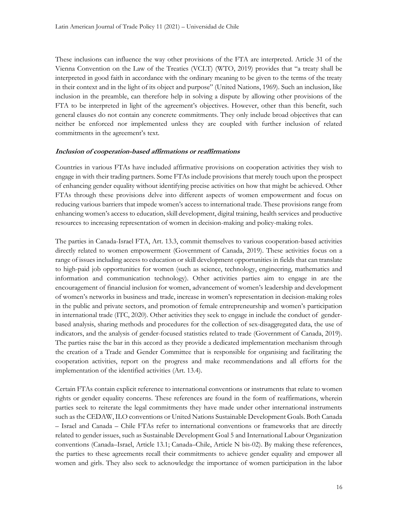These inclusions can influence the way other provisions of the FTA are interpreted. Article 31 of the Vienna Convention on the Law of the Treaties (VCLT) (WTO, 2019) provides that "a treaty shall be interpreted in good faith in accordance with the ordinary meaning to be given to the terms of the treaty in their context and in the light of its object and purpose" (United Nations, 1969). Such an inclusion, like inclusion in the preamble, can therefore help in solving a dispute by allowing other provisions of the FTA to be interpreted in light of the agreement's objectives. However, other than this benefit, such general clauses do not contain any concrete commitments. They only include broad objectives that can neither be enforced nor implemented unless they are coupled with further inclusion of related commitments in the agreement's text.

#### Inclusion of cooperation-based affirmations or reaffirmations

Countries in various FTAs have included affirmative provisions on cooperation activities they wish to engage in with their trading partners. Some FTAs include provisions that merely touch upon the prospect of enhancing gender equality without identifying precise activities on how that might be achieved. Other FTAs through these provisions delve into different aspects of women empowerment and focus on reducing various barriers that impede women's access to international trade. These provisions range from enhancing women's access to education, skill development, digital training, health services and productive resources to increasing representation of women in decision-making and policy-making roles.

The parties in Canada-Israel FTA, Art. 13.3, commit themselves to various cooperation-based activities directly related to women empowerment (Government of Canada, 2019). These activities focus on a range of issues including access to education or skill development opportunities in fields that can translate to high-paid job opportunities for women (such as science, technology, engineering, mathematics and information and communication technology). Other activities parties aim to engage in are the encouragement of financial inclusion for women, advancement of women's leadership and development of women's networks in business and trade, increase in women's representation in decision-making roles in the public and private sectors, and promotion of female entrepreneurship and women's participation in international trade (ITC, 2020). Other activities they seek to engage in include the conduct of genderbased analysis, sharing methods and procedures for the collection of sex-disaggregated data, the use of indicators, and the analysis of gender-focused statistics related to trade (Government of Canada, 2019). The parties raise the bar in this accord as they provide a dedicated implementation mechanism through the creation of a Trade and Gender Committee that is responsible for organising and facilitating the cooperation activities, report on the progress and make recommendations and all efforts for the implementation of the identified activities (Art. 13.4).

Certain FTAs contain explicit reference to international conventions or instruments that relate to women rights or gender equality concerns. These references are found in the form of reaffirmations, wherein parties seek to reiterate the legal commitments they have made under other international instruments such as the CEDAW, ILO conventions or United Nations Sustainable Development Goals. Both Canada – Israel and Canada – Chile FTAs refer to international conventions or frameworks that are directly related to gender issues, such as Sustainable Development Goal 5 and International Labour Organization conventions (Canada–Israel, Article 13.1; Canada–Chile, Article N bis-02). By making these references, the parties to these agreements recall their commitments to achieve gender equality and empower all women and girls. They also seek to acknowledge the importance of women participation in the labor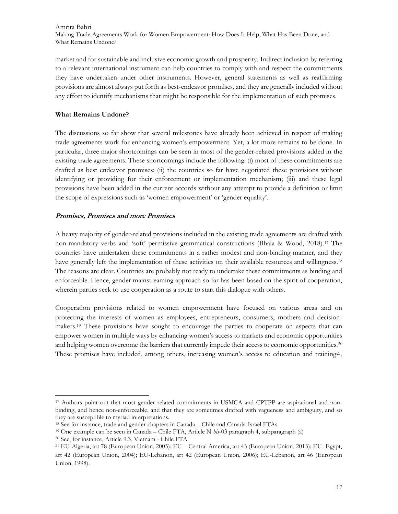market and for sustainable and inclusive economic growth and prosperity. Indirect inclusion by referring to a relevant international instrument can help countries to comply with and respect the commitments they have undertaken under other instruments. However, general statements as well as reaffirming provisions are almost always put forth as best-endeavor promises, and they are generally included without any effort to identify mechanisms that might be responsible for the implementation of such promises.

# What Remains Undone?

The discussions so far show that several milestones have already been achieved in respect of making trade agreements work for enhancing women's empowerment. Yet, a lot more remains to be done. In particular, three major shortcomings can be seen in most of the gender-related provisions added in the existing trade agreements. These shortcomings include the following: (i) most of these commitments are drafted as best endeavor promises; (ii) the countries so far have negotiated these provisions without identifying or providing for their enforcement or implementation mechanism; (iii) and these legal provisions have been added in the current accords without any attempt to provide a definition or limit the scope of expressions such as 'women empowerment' or 'gender equality'.

# Promises, Promises and more Promises

A heavy majority of gender-related provisions included in the existing trade agreements are drafted with non-mandatory verbs and 'soft' permissive grammatical constructions (Bhala & Wood, 2018).17 The countries have undertaken these commitments in a rather modest and non-binding manner, and they have generally left the implementation of these activities on their available resources and willingness.<sup>18</sup> The reasons are clear. Countries are probably not ready to undertake these commitments as binding and enforceable. Hence, gender mainstreaming approach so far has been based on the spirit of cooperation, wherein parties seek to use cooperation as a route to start this dialogue with others.

Cooperation provisions related to women empowerment have focused on various areas and on protecting the interests of women as employees, entrepreneurs, consumers, mothers and decisionmakers.19 These provisions have sought to encourage the parties to cooperate on aspects that can empower women in multiple ways by enhancing women's access to markets and economic opportunities and helping women overcome the barriers that currently impede their access to economic opportunities.<sup>20</sup> These promises have included, among others, increasing women's access to education and training<sup>21</sup>,

<sup>17</sup> Authors point out that most gender related commitments in USMCA and CPTPP are aspirational and nonbinding, and hence non-enforceable, and that they are sometimes drafted with vagueness and ambiguity, and so they are susceptible to myriad interpretations.

<sup>18</sup> See for instance, trade and gender chapters in Canada – Chile and Canada-Israel FTAs.

<sup>&</sup>lt;sup>19</sup> One example can be seen in Canada – Chile FTA, Article N  $bis$ -03 paragraph 4, subparagraph (a)

<sup>20</sup> See, for instance, Article 9.3, Vietnam - Chile FTA.

<sup>21</sup> EU-Algeria, art 78 (European Union, 2005); EU – Central America, art 43 (European Union, 2013); EU- Egypt, art 42 (European Union, 2004); EU-Lebanon, art 42 (European Union, 2006); EU-Lebanon, art 46 (European Union, 1998).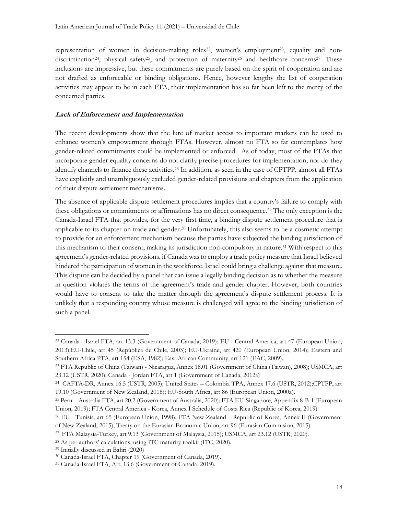representation of women in decision-making roles<sup>22</sup>, women's employment<sup>23</sup>, equality and nondiscrimination<sup>24</sup>, physical safety<sup>25</sup>, and protection of maternity<sup>26</sup> and healthcare concerns<sup>27</sup>. These inclusions are impressive, but these commitments are purely based on the spirit of cooperation and are not drafted as enforceable or binding obligations. Hence, however lengthy the list of cooperation activities may appear to be in each FTA, their implementation has so far been left to the mercy of the concerned parties.

#### Lack of Enforcement and Implementation

The recent developments show that the lure of market access to important markets can be used to enhance women's empowerment through FTAs. However, almost no FTA so far contemplates how gender-related commitments could be implemented or enforced. As of today, most of the FTAs that incorporate gender equality concerns do not clarify precise procedures for implementation; nor do they identify channels to finance these activities.28 In addition, as seen in the case of CPTPP, almost all FTAs have explicitly and unambiguously excluded gender-related provisions and chapters from the application of their dispute settlement mechanisms.

The absence of applicable dispute settlement procedures implies that a country's failure to comply with these obligations or commitments or affirmations has no direct consequence.29 The only exception is the Canada-Israel FTA that provides, for the very first time, a binding dispute settlement procedure that is applicable to its chapter on trade and gender.30 Unfortunately, this also seems to be a cosmetic attempt to provide for an enforcement mechanism because the parties have subjected the binding jurisdiction of this mechanism to their consent, making its jurisdiction non-compulsory in nature.31 With respect to this agreement's gender-related provisions, if Canada was to employ a trade policy measure that Israel believed hindered the participation of women in the workforce, Israel could bring a challenge against that measure. This dispute can be decided by a panel that can issue a legally binding decision as to whether the measure in question violates the terms of the agreement's trade and gender chapter. However, both countries would have to consent to take the matter through the agreement's dispute settlement process. It is unlikely that a responding country whose measure is challenged will agree to the binding jurisdiction of such a panel.

<sup>22</sup> Canada - Israel FTA, art 13.3 (Government of Canada, 2019); EU - Central America, art 47 (European Union, 2013);EU-Chile, art 45 (República de Chile, 2003); EU-Ukraine, art 420 (European Union, 2014); Eastern and Southern Africa PTA, art 154 (ESA, 1982); East African Community, art 121 (EAC, 2009).

<sup>23</sup> FTA Republic of China (Taiwan) - Nicaragua, Annex 18.01 (Government of China (Taiwan), 2008); USMCA, art 23.12 (USTR, 2020); Canada - Jordan FTA, art 1 (Government of Canada, 2012a)

<sup>24</sup> CAFTA-DR, Annex 16.5 (USTR, 2005); United States – Colombia TPA, Annex 17.6 (USTR, 2012);CPTPP, art 19.10 (Government of New Zealand, 2018); EU-South Africa, art 86 (European Union, 2000a).

<sup>25</sup> Peru – Australia FTA, art 20.2 (Government of Australia, 2020); FTA EU-Singapore, Appendix 8-B-1 (European Union, 2019); FTA Central America - Korea, Annex I Schedule of Costa Rica (Republic of Korea, 2019).

<sup>26</sup> EU - Tunisia, art 65 (European Union, 1998); FTA New Zealand – Republic of Korea, Annex II (Government of New Zealand, 2015); Treaty on the Eurasian Economic Union, art 96 (Eurasian Commision, 2015).

<sup>27</sup> FTA Malaysia-Turkey, art 9.13 (Government of Malaysia, 2015); USMCA, art 23.12 (USTR, 2020).

<sup>28</sup> As per authors' calculations, using ITC maturity toolkit (ITC, 2020).

<sup>29</sup> Initially discussed in Bahri (2020)

<sup>30</sup> Canada-Israel FTA, Chapter 19 (Government of Canada, 2019).

<sup>31</sup> Canada-Israel FTA, Art. 13.6 (Government of Canada, 2019).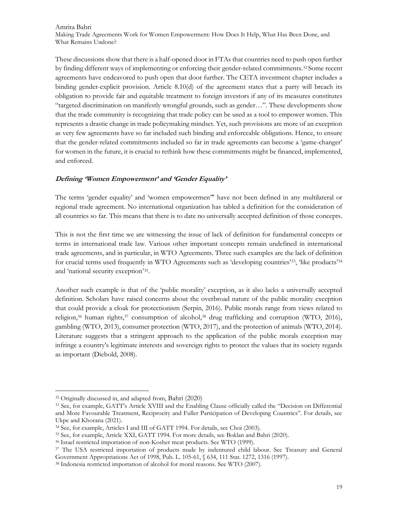These discussions show that there is a half-opened door in FTAs that countries need to push open further by finding different ways of implementing or enforcing their gender-related commitments.32 Some recent agreements have endeavored to push open that door further. The CETA investment chapter includes a binding gender-explicit provision. Article 8.10(d) of the agreement states that a party will breach its obligation to provide fair and equitable treatment to foreign investors if any of its measures constitutes "targeted discrimination on manifestly wrongful grounds, such as gender…". These developments show that the trade community is recognizing that trade policy can be used as a tool to empower women. This represents a drastic change in trade policymaking mindset. Yet, such provisions are more of an exception as very few agreements have so far included such binding and enforceable obligations. Hence, to ensure that the gender-related commitments included so far in trade agreements can become a 'game-changer' for women in the future, it is crucial to rethink how these commitments might be financed, implemented, and enforced.

#### Defining 'Women Empowerment' and 'Gender Equality'

The terms 'gender equality' and 'women empowermen'" have not been defined in any multilateral or regional trade agreement. No international organization has tabled a definition for the consideration of all countries so far. This means that there is to date no universally accepted definition of those concepts.

This is not the first time we are witnessing the issue of lack of definition for fundamental concepts or terms in international trade law. Various other important concepts remain undefined in international trade agreements, and in particular, in WTO Agreements. Three such examples are the lack of definition for crucial terms used frequently in WTO Agreements such as 'developing countries'33, 'like products'<sup>34</sup> and 'national security exception'<sup>35</sup> .

Another such example is that of the 'public morality' exception, as it also lacks a universally accepted definition. Scholars have raised concerns about the overbroad nature of the public morality exception that could provide a cloak for protectionism (Serpin, 2016). Public morals range from views related to religion,36 human rights,37 consumption of alcohol,38 drug trafficking and corruption (WTO, 2016), gambling (WTO, 2013), consumer protection (WTO, 2017), and the protection of animals (WTO, 2014). Literature suggests that a stringent approach to the application of the public morals exception may infringe a country's legitimate interests and sovereign rights to protect the values that its society regards as important (Diebold, 2008).

<sup>32</sup> Originally discussed in, and adapted from, Bahri (2020)

<sup>33</sup> See, for example, GATT's Article XVIII and the Enabling Clause officially called the "Decision on Differential and More Favourable Treatment, Reciprocity and Fuller Participation of Developing Countries". For details, see Ukpe and Khorana (2021).

<sup>34</sup> See, for example, Articles I and III of GATT 1994. For details, see Choi (2003).

<sup>35</sup> See, for example, Article XXI, GATT 1994. For more details, see Boklan and Bahri (2020).

<sup>36</sup> Israel restricted importation of non-Kosher meat products. See WTO (1999).

<sup>&</sup>lt;sup>37</sup> The USA restricted importation of products made by indentured child labour. See Treasury and General Government Appropriations Act of 1998, Pub. L. 105-61, § 634, 111 Stat. 1272, 1316 (1997).

<sup>38</sup> Indonesia restricted importation of alcohol for moral reasons. See WTO (2007).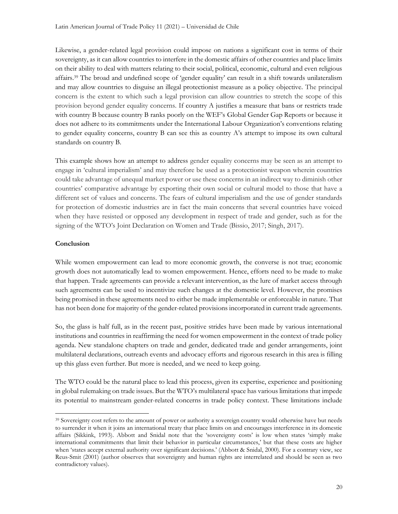Likewise, a gender-related legal provision could impose on nations a significant cost in terms of their sovereignty, as it can allow countries to interfere in the domestic affairs of other countries and place limits on their ability to deal with matters relating to their social, political, economic, cultural and even religious affairs.39 The broad and undefined scope of 'gender equality' can result in a shift towards unilateralism and may allow countries to disguise an illegal protectionist measure as a policy objective. The principal concern is the extent to which such a legal provision can allow countries to stretch the scope of this provision beyond gender equality concerns. If country A justifies a measure that bans or restricts trade with country B because country B ranks poorly on the WEF's Global Gender Gap Reports or because it does not adhere to its commitments under the International Labour Organization's conventions relating to gender equality concerns, country B can see this as country A's attempt to impose its own cultural standards on country B.

This example shows how an attempt to address gender equality concerns may be seen as an attempt to engage in 'cultural imperialism' and may therefore be used as a protectionist weapon wherein countries could take advantage of unequal market power or use these concerns in an indirect way to diminish other countries' comparative advantage by exporting their own social or cultural model to those that have a different set of values and concerns. The fears of cultural imperialism and the use of gender standards for protection of domestic industries are in fact the main concerns that several countries have voiced when they have resisted or opposed any development in respect of trade and gender, such as for the signing of the WTO's Joint Declaration on Women and Trade (Bissio, 2017; Singh, 2017).

# Conclusion

While women empowerment can lead to more economic growth, the converse is not true; economic growth does not automatically lead to women empowerment. Hence, efforts need to be made to make that happen. Trade agreements can provide a relevant intervention, as the lure of market access through such agreements can be used to incentivize such changes at the domestic level. However, the promises being promised in these agreements need to either be made implementable or enforceable in nature. That has not been done for majority of the gender-related provisions incorporated in current trade agreements.

So, the glass is half full, as in the recent past, positive strides have been made by various international institutions and countries in reaffirming the need for women empowerment in the context of trade policy agenda. New standalone chapters on trade and gender, dedicated trade and gender arrangements, joint multilateral declarations, outreach events and advocacy efforts and rigorous research in this area is filling up this glass even further. But more is needed, and we need to keep going.

The WTO could be the natural place to lead this process, given its expertise, experience and positioning in global rulemaking on trade issues. But the WTO's multilateral space has various limitations that impede its potential to mainstream gender-related concerns in trade policy context. These limitations include

<sup>&</sup>lt;sup>39</sup> Sovereignty cost refers to the amount of power or authority a sovereign country would otherwise have but needs to surrender it when it joins an international treaty that place limits on and encourages interference in its domestic affairs (Sikkink, 1993). Abbott and Snidal note that the 'sovereignty costs' is low when states 'simply make international commitments that limit their behavior in particular circumstances,' but that these costs are higher when 'states accept external authority over significant decisions.' (Abbott & Snidal, 2000). For a contrary view, see Reus-Smit (2001) (author observes that sovereignty and human rights are interrelated and should be seen as two contradictory values).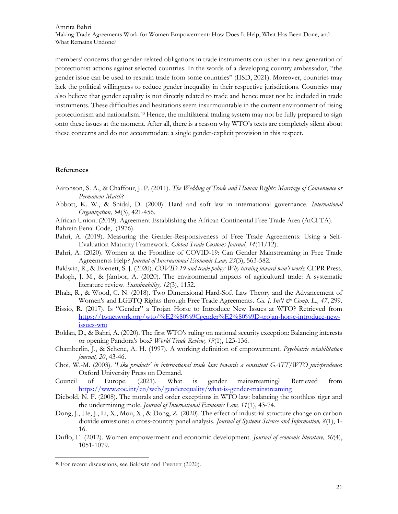members' concerns that gender-related obligations in trade instruments can usher in a new generation of protectionist actions against selected countries. In the words of a developing country ambassador, "the gender issue can be used to restrain trade from some countries" (IISD, 2021). Moreover, countries may lack the political willingness to reduce gender inequality in their respective jurisdictions. Countries may also believe that gender equality is not directly related to trade and hence must not be included in trade instruments. These difficulties and hesitations seem insurmountable in the current environment of rising protectionism and nationalism.40 Hence, the multilateral trading system may not be fully prepared to sign onto these issues at the moment. After all, there is a reason why WTO's texts are completely silent about these concerns and do not accommodate a single gender-explicit provision in this respect.

#### References

- Aaronson, S. A., & Chaffour, J. P. (2011). The Wedding of Trade and Human Rights: Marriage of Convenience or Permanent Match?
- Abbott, K. W., & Snidal, D. (2000). Hard and soft law in international governance. International Organization, 54(3), 421-456.
- African Union. (2019). Agreement Establishing the African Continental Free Trade Area (AfCFTA). Bahrein Penal Code, (1976).
- Bahri, A. (2019). Measuring the Gender-Responsiveness of Free Trade Agreements: Using a Self-Evaluation Maturity Framework. Global Trade Customs Journal, 14(11/12).
- Bahri, A. (2020). Women at the Frontline of COVID-19: Can Gender Mainstreaming in Free Trade Agreements Help? Journal of International Economic Law, 23(3), 563-582.
- Baldwin, R., & Evenett, S. J. (2020). COVID-19 and trade policy: Why turning inward won't work: CEPR Press.
- Balogh, J. M., & Jámbor, A. (2020). The environmental impacts of agricultural trade: A systematic literature review. Sustainability, 12(3), 1152.
- Bhala, R., & Wood, C. N. (2018). Two Dimensional Hard-Soft Law Theory and the Advancement of Women's and LGBTQ Rights through Free Trade Agreements. Ga. J. Int'l & Comp. L., 47, 299.
- Bissio, R. (2017). Is "Gender" a Trojan Horse to Introduce New Issues at WTO? Retrieved from https://twnetwork.org/wto/%E2%80%9Cgender%E2%80%9D-trojan-horse-introduce-newissues-wto
- Boklan, D., & Bahri, A. (2020). The first WTO's ruling on national security exception: Balancing interests or opening Pandora's box? World Trade Review, 19(1), 123-136.
- Chamberlin, J., & Schene, A. H. (1997). A working definition of empowerment. Psychiatric rehabilitation journal, 20, 43-46.
- Choi, W.-M. (2003). 'Like products' in international trade law: towards a consistent GATT/WTO jurisprudence: Oxford University Press on Demand.
- Council of Europe. (2021). What is gender mainstreaming? Retrieved from https://www.coe.int/en/web/genderequality/what-is-gender-mainstreaming
- Diebold, N. F. (2008). The morals and order exceptions in WTO law: balancing the toothless tiger and the undermining mole. Journal of International Economic Law, 11(1), 43-74.
- Dong, J., He, J., Li, X., Mou, X., & Dong, Z. (2020). The effect of industrial structure change on carbon dioxide emissions: a cross-country panel analysis. Journal of Systems Science and Information, 8(1), 1-16.
- Duflo, E. (2012). Women empowerment and economic development. Journal of economic literature, 50(4), 1051-1079.

<sup>40</sup> For recent discussions, see Baldwin and Evenett (2020).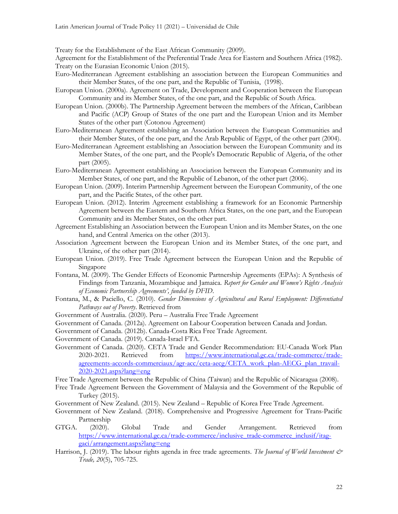Treaty for the Establishment of the East African Community (2009).

Agreement for the Establishment of the Preferential Trade Area for Eastern and Southern Africa (1982). Treaty on the Eurasian Economic Union (2015).

- Euro-Mediterranean Agreement establishing an association between the European Communities and their Member States, of the one part, and the Republic of Tunisia, (1998).
- European Union. (2000a). Agreement on Trade, Development and Cooperation between the European Community and its Member States, of the one part, and the Republic of South Africa.
- European Union. (2000b). The Partnership Agreement between the members of the African, Caribbean and Pacific (ACP) Group of States of the one part and the European Union and its Member States of the other part (Cotonou Agreement)
- Euro-Mediterranean Agreement establishing an Association between the European Communities and their Member States, of the one part, and the Arab Republic of Egypt, of the other part (2004).
- Euro-Mediterranean Agreement establishing an Association between the European Community and its Member States, of the one part, and the People's Democratic Republic of Algeria, of the other part (2005).
- Euro-Mediterranean Agreement establishing an Association between the European Community and its Member States, of one part, and the Republic of Lebanon, of the other part (2006).
- European Union. (2009). Interim Partnership Agreement between the European Community, of the one part, and the Pacific States, of the other part.
- European Union. (2012). Interim Agreement establishing a framework for an Economic Partnership Agreement between the Eastern and Southern Africa States, on the one part, and the European Community and its Member States, on the other part.
- Agreement Establishing an Association between the European Union and its Member States, on the one hand, and Central America on the other (2013).
- Association Agreement between the European Union and its Member States, of the one part, and Ukraine, of the other part (2014).
- European Union. (2019). Free Trade Agreement between the European Union and the Republic of Singapore
- Fontana, M. (2009). The Gender Effects of Economic Partnership Agreements (EPAs): A Synthesis of Findings from Tanzania, Mozambique and Jamaica. Report for Gender and Women's Rights Analysis of Economic Partnership Agreements', funded by DFID.
- Fontana, M., & Paciello, C. (2010). Gender Dimensions of Agricultural and Rural Employment: Differentiated Pathways out of Poverty. Retrieved from
- Government of Australia. (2020). Peru Australia Free Trade Agreement
- Government of Canada. (2012a). Agreement on Labour Cooperation between Canada and Jordan.
- Government of Canada. (2012b). Canada-Costa Rica Free Trade Agreement.
- Government of Canada. (2019). Canada-Israel FTA.
- Government of Canada. (2020). CETA Trade and Gender Recommendation: EU-Canada Work Plan 2020-2021. Retrieved from https://www.international.gc.ca/trade-commerce/tradeagreements-accords-commerciaux/agr-acc/ceta-aecg/CETA\_work\_plan-AECG\_plan\_travail-2020-2021.aspx?lang=eng
- Free Trade Agreement between the Republic of China (Taiwan) and the Republic of Nicaragua (2008).
- Free Trade Agreement Between the Government of Malaysia and the Government of the Republic of Turkey (2015).
- Government of New Zealand. (2015). New Zealand Republic of Korea Free Trade Agreement.
- Government of New Zealand. (2018). Comprehensive and Progressive Agreement for Trans-Pacific Partnership
- GTGA. (2020). Global Trade and Gender Arrangement. Retrieved from https://www.international.gc.ca/trade-commerce/inclusive\_trade-commerce\_inclusif/itaggaci/arrangement.aspx?lang=eng
- Harrison, J. (2019). The labour rights agenda in free trade agreements. The Journal of World Investment  $\dot{\mathcal{C}}$ Trade, 20(5), 705-725.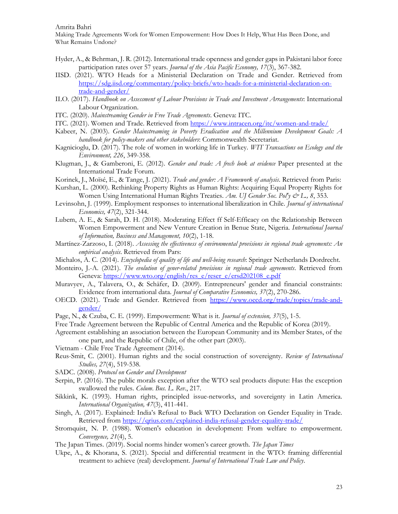Amrita Bahri

Making Trade Agreements Work for Women Empowerment: How Does It Help, What Has Been Done, and What Remains Undone?

- Hyder, A., & Behrman, J. R. (2012). International trade openness and gender gaps in Pakistani labor force participation rates over 57 years. Journal of the Asia Pacific Economy, 17(3), 367-382.
- IISD. (2021). WTO Heads for a Ministerial Declaration on Trade and Gender. Retrieved from https://sdg.iisd.org/commentary/policy-briefs/wto-heads-for-a-ministerial-declaration-ontrade-and-gender/
- ILO. (2017). Handbook on Assessment of Labour Provisions in Trade and Investment Arrangements: International Labour Organization.
- ITC. (2020). Mainstreaming Gender in Free Trade Agreements. Geneva: ITC.
- ITC. (2021). Women and Trade. Retrieved from https://www.intracen.org/itc/women-and-trade/
- Kabeer, N. (2003). Gender Mainstreaming in Poverty Eradication and the Millennium Development Goals: A handbook for policy-makers and other stakeholders: Commonwealth Secretariat.
- Kagnicioglu, D. (2017). The role of women in working life in Turkey. WIT Transactions on Ecology and the Environment, 226, 349-358.
- Klugman, J., & Gamberoni, E. (2012). Gender and trade: A frech look at evidence Paper presented at the International Trade Forum.
- Korinek, J., Moïsé, E., & Tange, J. (2021). Trade and gender: A Framework of analysis. Retrieved from Paris:
- Kurshan, L. (2000). Rethinking Property Rights as Human Rights: Acquiring Equal Property Rights for Women Using International Human Rights Treaties. Am. UJ Gender Soc. Pol'y  $\mathcal{Q}^*$  L., 8, 353.
- Levinsohn, J. (1999). Employment responses to international liberalization in Chile. Journal of international Economics, 47(2), 321-344.
- Lubem, A. E., & Sarah, D. H. (2018). Moderating Effect ff Self-Efficacy on the Relationship Between Women Empowerment and New Venture Creation in Benue State, Nigeria. International Journal of Information, Business and Management, 10(2), 1-18.
- Martínez-Zarzoso, I. (2018). Assessing the effectiveness of environmental provisions in regional trade agreements: An empirical analysis. Retrieved from Pars:
- Michalos, A. C. (2014). Encyclopedia of quality of life and well-being research: Springer Netherlands Dordrecht.
- Monteiro, J.-A. (2021). The evolution of gener-related provisions in regional trade agreements. Retrieved from Geneva: https://www.wto.org/english/res\_e/reser\_e/ersd202108\_e.pdf
- Muravyev, A., Talavera, O., & Schäfer, D. (2009). Entrepreneurs' gender and financial constraints: Evidence from international data. Journal of Comparative Economics, 37(2), 270-286.
- OECD. (2021). Trade and Gender. Retrieved from https://www.oecd.org/trade/topics/trade-andgender/
- Page, N., & Czuba, C. E. (1999). Empowerment: What is it. *Journal of extension*, 37(5), 1-5.
- Free Trade Agreement between the Republic of Central America and the Republic of Korea (2019).
- Agreement establishing an association between the European Community and its Member States, of the one part, and the Republic of Chile, of the other part (2003).
- Vietnam Chile Free Trade Agreement (2014).
- Reus-Smit, C. (2001). Human rights and the social construction of sovereignty. Review of International Studies, 27(4), 519-538.
- SADC. (2008). Protocol on Gender and Development
- Serpin, P. (2016). The public morals exception after the WTO seal products dispute: Has the exception swallowed the rules. *Colum. Bus. L. Rev.*, 217.
- Sikkink, K. (1993). Human rights, principled issue-networks, and sovereignty in Latin America. International Organization, 47(3), 411-441.
- Singh, A. (2017). Explained: India's Refusal to Back WTO Declaration on Gender Equality in Trade. Retrieved from https://qrius.com/explained-india-refusal-gender-equality-trade/
- Stromquist, N. P. (1988). Women's education in development: From welfare to empowerment. Convergence, 21(4), 5.
- The Japan Times. (2019). Social norms hinder women's career growth. The Japan Times
- Ukpe, A., & Khorana, S. (2021). Special and differential treatment in the WTO: framing differential treatment to achieve (real) development. Journal of International Trade Law and Policy.